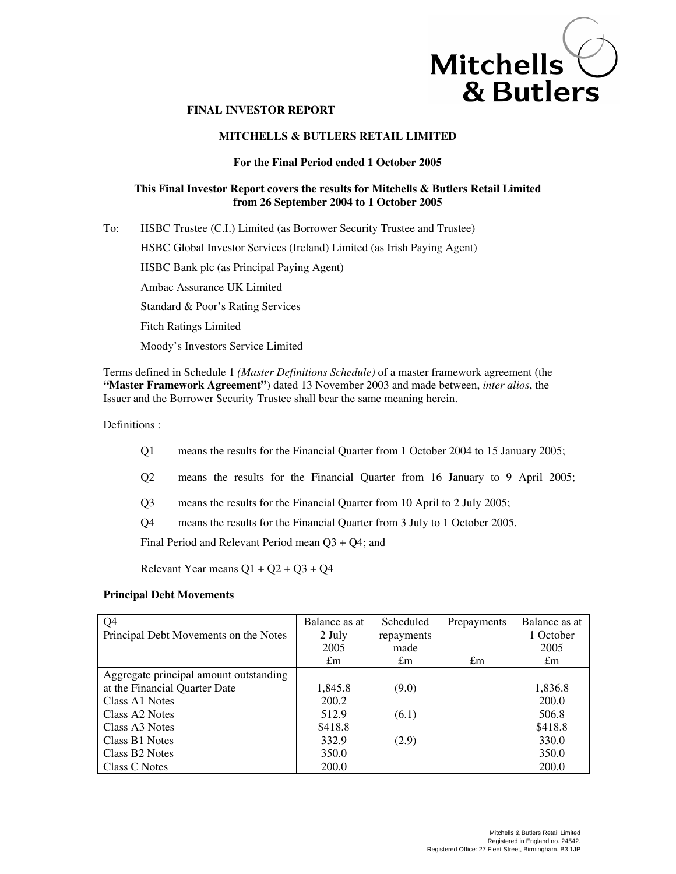# $Mitchells \n\begin{array}{c}\n\bigcirc \\
\bigcirc \\
\bigcirc \\
\bigcirc\n\end{array}$ & Butlers

# **FINAL INVESTOR REPORT**

# **MITCHELLS & BUTLERS RETAIL LIMITED**

# **For the Final Period ended 1 October 2005**

# **This Final Investor Report covers the results for Mitchells & Butlers Retail Limited from 26 September 2004 to 1 October 2005**

To: HSBC Trustee (C.I.) Limited (as Borrower Security Trustee and Trustee) HSBC Global Investor Services (Ireland) Limited (as Irish Paying Agent) HSBC Bank plc (as Principal Paying Agent) Ambac Assurance UK Limited Standard & Poor's Rating Services Fitch Ratings Limited Moody's Investors Service Limited

Terms defined in Schedule 1 *(Master Definitions Schedule)* of a master framework agreement (the **"Master Framework Agreement"**) dated 13 November 2003 and made between, *inter alios*, the Issuer and the Borrower Security Trustee shall bear the same meaning herein.

Definitions :

- Q1 means the results for the Financial Quarter from 1 October 2004 to 15 January 2005;
- Q2 means the results for the Financial Quarter from 16 January to 9 April 2005;
- Q3 means the results for the Financial Quarter from 10 April to 2 July 2005;
- Q4 means the results for the Financial Quarter from 3 July to 1 October 2005.

Final Period and Relevant Period mean Q3 + Q4; and

Relevant Year means  $Q1 + Q2 + Q3 + Q4$ 

# **Principal Debt Movements**

| Q <sub>4</sub>                         | Balance as at | Scheduled   | Prepayments | Balance as at |
|----------------------------------------|---------------|-------------|-------------|---------------|
| Principal Debt Movements on the Notes  | 2 July        | repayments  |             | 1 October     |
|                                        | 2005          | made        |             | 2005          |
|                                        | $\pounds$ m   | $\pounds$ m | $\pounds$ m | $\pounds$ m   |
| Aggregate principal amount outstanding |               |             |             |               |
| at the Financial Quarter Date          | 1,845.8       | (9.0)       |             | 1,836.8       |
| Class A1 Notes                         | 200.2         |             |             | 200.0         |
| Class A <sub>2</sub> Notes             | 512.9         | (6.1)       |             | 506.8         |
| Class A3 Notes                         | \$418.8       |             |             | \$418.8       |
| Class B1 Notes                         | 332.9         | (2.9)       |             | 330.0         |
| Class B <sub>2</sub> Notes             | 350.0         |             |             | 350.0         |
| Class C Notes                          | 200.0         |             |             | 200.0         |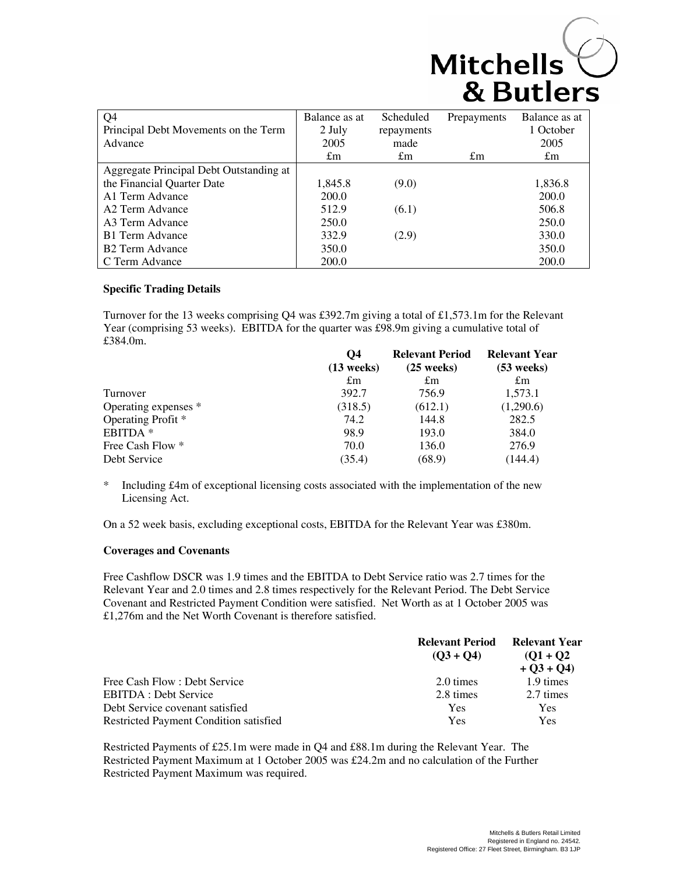| Q <sub>4</sub>                          | Balance as at | Scheduled   | Prepayments | Balance as at |
|-----------------------------------------|---------------|-------------|-------------|---------------|
| Principal Debt Movements on the Term    | 2 July        | repayments  |             | 1 October     |
| Advance                                 | 2005          | made        |             | 2005          |
|                                         | $\pounds$ m   | $\pounds$ m | $\pounds$ m | $\pounds$ m   |
| Aggregate Principal Debt Outstanding at |               |             |             |               |
| the Financial Quarter Date              | 1,845.8       | (9.0)       |             | 1,836.8       |
| A1 Term Advance                         | 200.0         |             |             | 200.0         |
| A <sub>2</sub> Term Advance             | 512.9         | (6.1)       |             | 506.8         |
| A3 Term Advance                         | 250.0         |             |             | 250.0         |
| <b>B1</b> Term Advance                  | 332.9         | (2.9)       |             | 330.0         |
| B <sub>2</sub> Term Advance             | 350.0         |             |             | 350.0         |
| C Term Advance                          | 200.0         |             |             | 200.0         |

# **Specific Trading Details**

Turnover for the 13 weeks comprising Q4 was £392.7m giving a total of £1,573.1m for the Relevant Year (comprising 53 weeks). EBITDA for the quarter was £98.9m giving a cumulative total of £384.0m.

|                      | O4           | <b>Relevant Period</b> | <b>Relevant Year</b> |
|----------------------|--------------|------------------------|----------------------|
|                      | $(13$ weeks) | $(25$ weeks)           | $(53$ weeks)         |
|                      | $\pounds$ m  | $\pounds$ m            | $\pounds$ m          |
| Turnover             | 392.7        | 756.9                  | 1,573.1              |
| Operating expenses * | (318.5)      | (612.1)                | (1,290.6)            |
| Operating Profit *   | 74.2         | 144.8                  | 282.5                |
| EBITDA <sup>*</sup>  | 98.9         | 193.0                  | 384.0                |
| Free Cash Flow *     | 70.0         | 136.0                  | 276.9                |
| Debt Service         | (35.4)       | (68.9)                 | (144.4)              |

\* Including £4m of exceptional licensing costs associated with the implementation of the new Licensing Act.

On a 52 week basis, excluding exceptional costs, EBITDA for the Relevant Year was £380m.

# **Coverages and Covenants**

Free Cashflow DSCR was 1.9 times and the EBITDA to Debt Service ratio was 2.7 times for the Relevant Year and 2.0 times and 2.8 times respectively for the Relevant Period. The Debt Service Covenant and Restricted Payment Condition were satisfied. Net Worth as at 1 October 2005 was £1,276m and the Net Worth Covenant is therefore satisfied.

|                                        | <b>Relevant Period</b> | <b>Relevant Year</b> |
|----------------------------------------|------------------------|----------------------|
|                                        | $(03 + 04)$            | $(01 + 02)$          |
|                                        |                        | $+ O(3 + O(4))$      |
| Free Cash Flow: Debt Service           | 2.0 times              | 1.9 times            |
| <b>EBITDA</b> : Debt Service           | 2.8 times              | 2.7 times            |
| Debt Service covenant satisfied        | Yes                    | Yes                  |
| Restricted Payment Condition satisfied | Yes                    | Yes                  |

Restricted Payments of £25.1m were made in Q4 and £88.1m during the Relevant Year. The Restricted Payment Maximum at 1 October 2005 was £24.2m and no calculation of the Further Restricted Payment Maximum was required.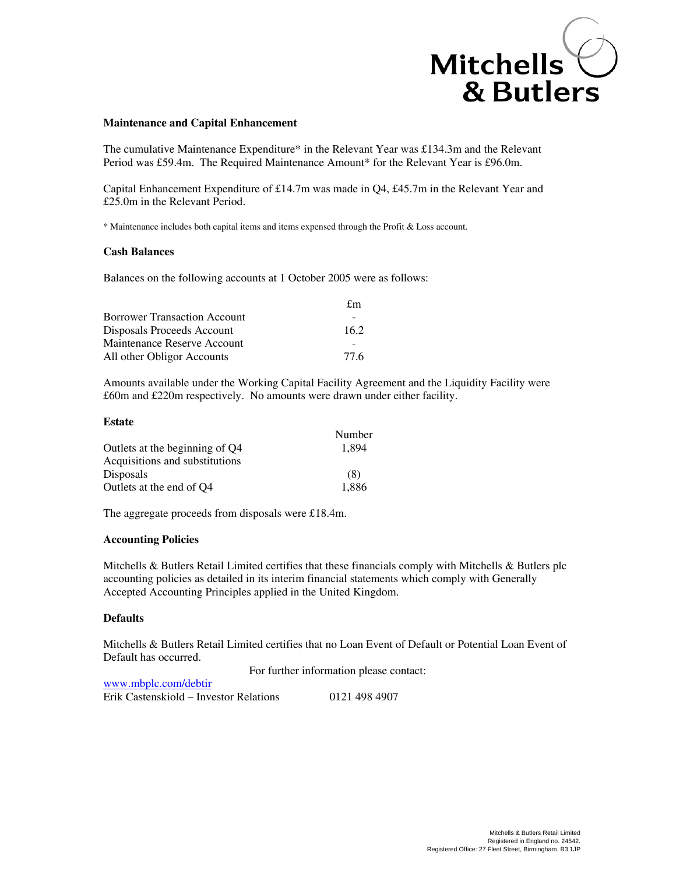# Mitchells<br>& Butlers

# **Maintenance and Capital Enhancement**

The cumulative Maintenance Expenditure\* in the Relevant Year was £134.3m and the Relevant Period was £59.4m. The Required Maintenance Amount\* for the Relevant Year is £96.0m.

Capital Enhancement Expenditure of £14.7m was made in Q4, £45.7m in the Relevant Year and £25.0m in the Relevant Period.

\* Maintenance includes both capital items and items expensed through the Profit & Loss account.

# **Cash Balances**

Balances on the following accounts at 1 October 2005 were as follows:

|                                     | $f_{\rm m}$ |
|-------------------------------------|-------------|
| <b>Borrower Transaction Account</b> |             |
| Disposals Proceeds Account          | 16.2        |
| Maintenance Reserve Account         |             |
| All other Obligor Accounts          | 77.6        |

Amounts available under the Working Capital Facility Agreement and the Liquidity Facility were £60m and £220m respectively. No amounts were drawn under either facility.

## **Estate**

|                                | Number |
|--------------------------------|--------|
| Outlets at the beginning of Q4 | 1.894  |
| Acquisitions and substitutions |        |
| <b>Disposals</b>               | (8)    |
| Outlets at the end of O4       | 1,886  |

The aggregate proceeds from disposals were £18.4m.

# **Accounting Policies**

www.mbplc.com/debtir

Mitchells & Butlers Retail Limited certifies that these financials comply with Mitchells & Butlers plc accounting policies as detailed in its interim financial statements which comply with Generally Accepted Accounting Principles applied in the United Kingdom.

# **Defaults**

Mitchells & Butlers Retail Limited certifies that no Loan Event of Default or Potential Loan Event of Default has occurred.

For further information please contact:

| <u>www.choole.comparation</u>          |               |
|----------------------------------------|---------------|
| Erik Castenskiold – Investor Relations | 0121 498 4907 |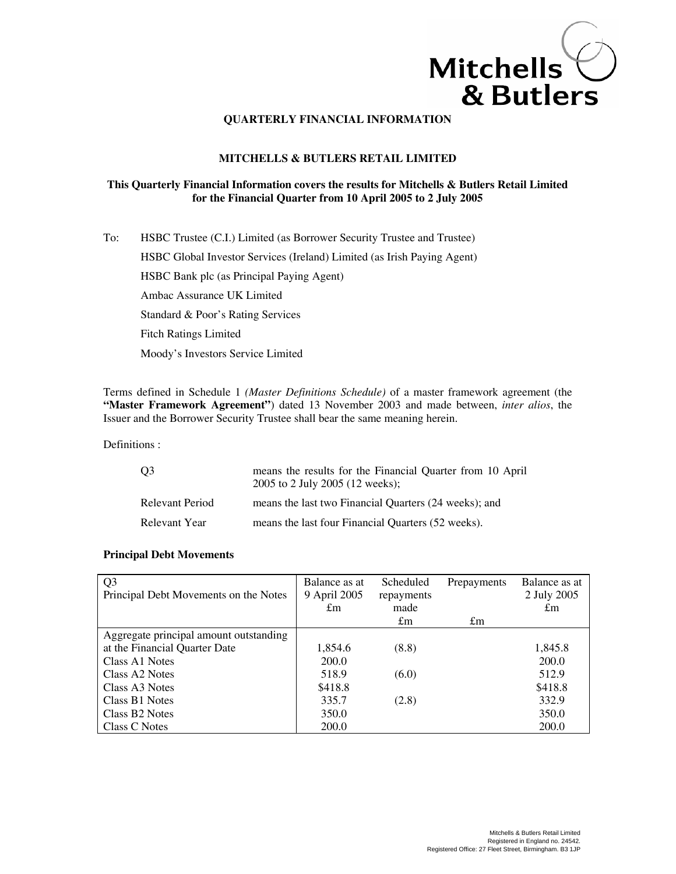

# **MITCHELLS & BUTLERS RETAIL LIMITED**

# **This Quarterly Financial Information covers the results for Mitchells & Butlers Retail Limited for the Financial Quarter from 10 April 2005 to 2 July 2005**

To: HSBC Trustee (C.I.) Limited (as Borrower Security Trustee and Trustee) HSBC Global Investor Services (Ireland) Limited (as Irish Paying Agent) HSBC Bank plc (as Principal Paying Agent) Ambac Assurance UK Limited Standard & Poor's Rating Services Fitch Ratings Limited Moody's Investors Service Limited

Terms defined in Schedule 1 *(Master Definitions Schedule)* of a master framework agreement (the **"Master Framework Agreement"**) dated 13 November 2003 and made between, *inter alios*, the Issuer and the Borrower Security Trustee shall bear the same meaning herein.

# Definitions :

| O <sub>3</sub>  | means the results for the Financial Quarter from 10 April<br>2005 to 2 July 2005 (12 weeks); |
|-----------------|----------------------------------------------------------------------------------------------|
| Relevant Period | means the last two Financial Quarters (24 weeks); and                                        |
| Relevant Year   | means the last four Financial Quarters (52 weeks).                                           |

# **Principal Debt Movements**

| Q <sub>3</sub>                         | Balance as at | Scheduled   | Prepayments | Balance as at |
|----------------------------------------|---------------|-------------|-------------|---------------|
| Principal Debt Movements on the Notes  | 9 April 2005  | repayments  |             | 2 July 2005   |
|                                        | $\pounds$ m   | made        |             | $\pounds$ m   |
|                                        |               | $\pounds$ m | $\pounds$ m |               |
| Aggregate principal amount outstanding |               |             |             |               |
| at the Financial Quarter Date          | 1,854.6       | (8.8)       |             | 1,845.8       |
| Class A1 Notes                         | 200.0         |             |             | 200.0         |
| Class A2 Notes                         | 518.9         | (6.0)       |             | 512.9         |
| Class A3 Notes                         | \$418.8       |             |             | \$418.8       |
| Class B1 Notes                         | 335.7         | (2.8)       |             | 332.9         |
| Class B <sub>2</sub> Notes             | 350.0         |             |             | 350.0         |
| Class C Notes                          | 200.0         |             |             | 200.0         |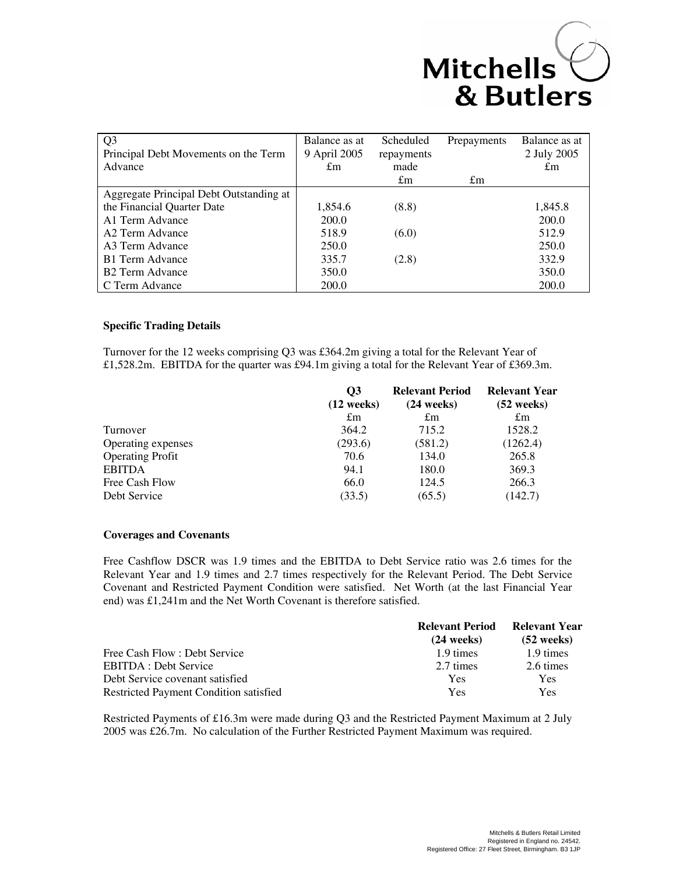# Mitchells Witchells

| Q <sub>3</sub><br>Principal Debt Movements on the Term | Balance as at<br>9 April 2005 | Scheduled<br>repayments | Prepayments | Balance as at<br>2 July 2005 |
|--------------------------------------------------------|-------------------------------|-------------------------|-------------|------------------------------|
| Advance                                                | $\pounds$ m                   | made                    |             | $\pounds$ m                  |
|                                                        |                               | $\pounds$ m             | $\pounds$ m |                              |
| Aggregate Principal Debt Outstanding at                |                               |                         |             |                              |
| the Financial Quarter Date                             | 1,854.6                       | (8.8)                   |             | 1,845.8                      |
| A1 Term Advance                                        | 200.0                         |                         |             | 200.0                        |
| A <sub>2</sub> Term Advance                            | 518.9                         | (6.0)                   |             | 512.9                        |
| A3 Term Advance                                        | 250.0                         |                         |             | 250.0                        |
| B1 Term Advance                                        | 335.7                         | (2.8)                   |             | 332.9                        |
| <b>B2 Term Advance</b>                                 | 350.0                         |                         |             | 350.0                        |
| C Term Advance                                         | 200.0                         |                         |             | 200.0                        |

# **Specific Trading Details**

Turnover for the 12 weeks comprising Q3 was £364.2m giving a total for the Relevant Year of £1,528.2m. EBITDA for the quarter was £94.1m giving a total for the Relevant Year of £369.3m.

|                         | O3<br>$(12 \text{ weeks})$ | <b>Relevant Period</b><br>$(24 \text{ weeks})$ | <b>Relevant Year</b><br>$(52$ weeks) |
|-------------------------|----------------------------|------------------------------------------------|--------------------------------------|
|                         | $\pounds$ m                | $\pounds$ m                                    | $\pounds$ m                          |
| Turnover                | 364.2                      | 715.2                                          | 1528.2                               |
| Operating expenses      | (293.6)                    | (581.2)                                        | (1262.4)                             |
| <b>Operating Profit</b> | 70.6                       | 134.0                                          | 265.8                                |
| <b>EBITDA</b>           | 94.1                       | 180.0                                          | 369.3                                |
| Free Cash Flow          | 66.0                       | 124.5                                          | 266.3                                |
| Debt Service            | (33.5)                     | (65.5)                                         | (142.7)                              |

# **Coverages and Covenants**

Free Cashflow DSCR was 1.9 times and the EBITDA to Debt Service ratio was 2.6 times for the Relevant Year and 1.9 times and 2.7 times respectively for the Relevant Period. The Debt Service Covenant and Restricted Payment Condition were satisfied. Net Worth (at the last Financial Year end) was £1,241m and the Net Worth Covenant is therefore satisfied.

|                                        | <b>Relevant Period</b> | <b>Relevant Year</b> |  |
|----------------------------------------|------------------------|----------------------|--|
|                                        | $(24$ weeks)           | $(52 \text{ weeks})$ |  |
| Free Cash Flow: Debt Service           | 1.9 times              | 1.9 times            |  |
| <b>EBITDA</b> : Debt Service           | 2.7 times              | 2.6 times            |  |
| Debt Service covenant satisfied        | Yes                    | Yes                  |  |
| Restricted Payment Condition satisfied | Yes                    | Yes                  |  |

Restricted Payments of £16.3m were made during Q3 and the Restricted Payment Maximum at 2 July 2005 was £26.7m. No calculation of the Further Restricted Payment Maximum was required.